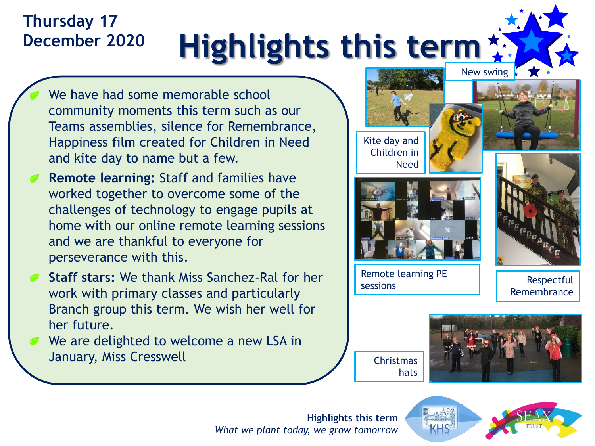## **Highlights this term Thursday 17 December 2020**

- We have had some memorable school community moments this term such as our Teams assemblies, silence for Remembrance, Happiness film created for Children in Need and kite day to name but a few.
- **Remote learning:** Staff and families have worked together to overcome some of the challenges of technology to engage pupils at home with our online remote learning sessions and we are thankful to everyone for perseverance with this.
- **Staff stars:** We thank Miss Sanchez-Ral for her work with primary classes and particularly Branch group this term. We wish her well for her future.
	- We are delighted to welcome a new LSA in January, Miss Cresswell



**Highlights this term** *What we plant today, we grow tomorrow*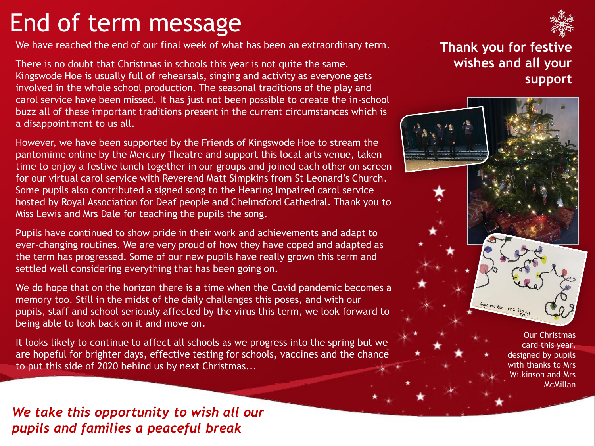# End of term message

We have reached the end of our final week of what has been an extraordinary term.

There is no doubt that Christmas in schools this year is not quite the same. Kingswode Hoe is usually full of rehearsals, singing and activity as everyone gets involved in the whole school production. The seasonal traditions of the play and carol service have been missed. It has just not been possible to create the in-school buzz all of these important traditions present in the current circumstances which is a disappointment to us all.

However, we have been supported by the Friends of Kingswode Hoe to stream the pantomime online by the Mercury Theatre and support this local arts venue, taken time to enjoy a festive lunch together in our groups and joined each other on screen for our virtual carol service with Reverend Matt Simpkins from St Leonard's Church. Some pupils also contributed a signed song to the Hearing Impaired carol service hosted by Royal Association for Deaf people and Chelmsford Cathedral. Thank you to Miss Lewis and Mrs Dale for teaching the pupils the song.

Pupils have continued to show pride in their work and achievements and adapt to ever-changing routines. We are very proud of how they have coped and adapted as the term has progressed. Some of our new pupils have really grown this term and settled well considering everything that has been going on.

We do hope that on the horizon there is a time when the Covid pandemic becomes a memory too. Still in the midst of the daily challenges this poses, and with our pupils, staff and school seriously affected by the virus this term, we look forward to being able to look back on it and move on.

It looks likely to continue to affect all schools as we progress into the spring but we are hopeful for brighter days, effective testing for schools, vaccines and the chance to put this side of 2020 behind us by next Christmas...

### **Thank you for festive wishes and all your support**



Our Christmas card this year, designed by pupils with thanks to Mrs Wilkinson and Mrs **McMillan** 

*We take this opportunity to wish all our pupils and families a peaceful break*